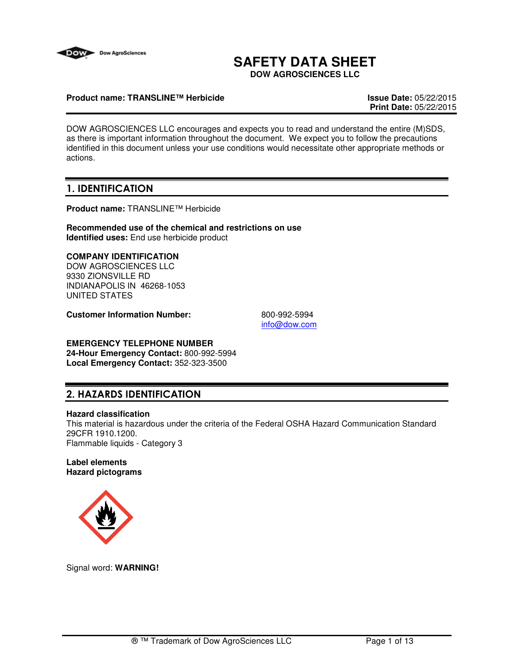

# **SAFETY DATA SHEET**

**DOW AGROSCIENCES LLC**

### **Product name: TRANSLINE™ Herbicide Issue Date:** 05/22/2015

**Print Date:** 05/22/2015

DOW AGROSCIENCES LLC encourages and expects you to read and understand the entire (M)SDS, as there is important information throughout the document. We expect you to follow the precautions identified in this document unless your use conditions would necessitate other appropriate methods or actions.

# 1. IDENTIFICATION

**Product name:** TRANSLINE™ Herbicide

**Recommended use of the chemical and restrictions on use Identified uses:** End use herbicide product

### **COMPANY IDENTIFICATION**

DOW AGROSCIENCES LLC 9330 ZIONSVILLE RD INDIANAPOLIS IN 46268-1053 UNITED STATES

**Customer Information Number:** 800-992-5994

info@dow.com

# **EMERGENCY TELEPHONE NUMBER**

**24-Hour Emergency Contact:** 800-992-5994 **Local Emergency Contact:** 352-323-3500

# 2. HAZARDS IDENTIFICATION

### **Hazard classification**

This material is hazardous under the criteria of the Federal OSHA Hazard Communication Standard 29CFR 1910.1200. Flammable liquids - Category 3

### **Label elements Hazard pictograms**



Signal word: **WARNING!**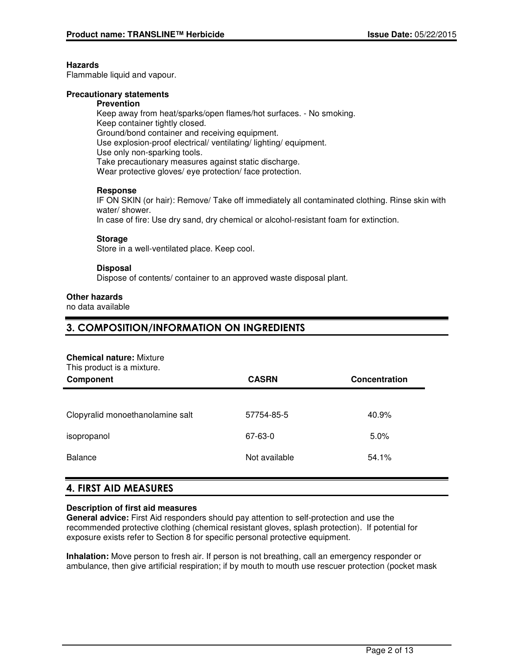### **Hazards**

Flammable liquid and vapour.

### **Precautionary statements**

#### **Prevention**

Keep away from heat/sparks/open flames/hot surfaces. - No smoking. Keep container tightly closed. Ground/bond container and receiving equipment. Use explosion-proof electrical/ ventilating/ lighting/ equipment. Use only non-sparking tools. Take precautionary measures against static discharge. Wear protective gloves/ eye protection/ face protection.

### **Response**

IF ON SKIN (or hair): Remove/ Take off immediately all contaminated clothing. Rinse skin with water/ shower.

In case of fire: Use dry sand, dry chemical or alcohol-resistant foam for extinction.

### **Storage**

Store in a well-ventilated place. Keep cool.

### **Disposal**

Dispose of contents/ container to an approved waste disposal plant.

### **Other hazards**

no data available

### 3. COMPOSITION/INFORMATION ON INGREDIENTS

#### **Chemical nature:** Mixture

This product is a mixture.

| Component                        | <b>CASRN</b>  | Concentration |
|----------------------------------|---------------|---------------|
|                                  |               |               |
| Clopyralid monoethanolamine salt | 57754-85-5    | 40.9%         |
| isopropanol                      | 67-63-0       | 5.0%          |
| <b>Balance</b>                   | Not available | 54.1%         |

### 4. FIRST AID MEASURES

### **Description of first aid measures**

**General advice:** First Aid responders should pay attention to self-protection and use the recommended protective clothing (chemical resistant gloves, splash protection). If potential for exposure exists refer to Section 8 for specific personal protective equipment.

**Inhalation:** Move person to fresh air. If person is not breathing, call an emergency responder or ambulance, then give artificial respiration; if by mouth to mouth use rescuer protection (pocket mask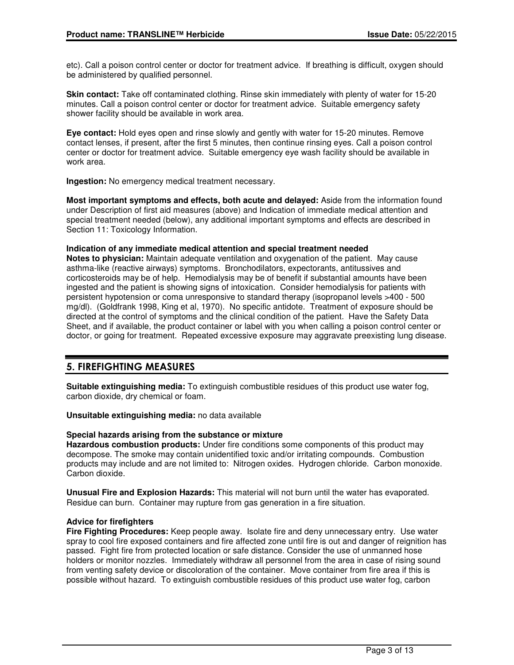etc). Call a poison control center or doctor for treatment advice. If breathing is difficult, oxygen should be administered by qualified personnel.

**Skin contact:** Take off contaminated clothing. Rinse skin immediately with plenty of water for 15-20 minutes. Call a poison control center or doctor for treatment advice. Suitable emergency safety shower facility should be available in work area.

**Eye contact:** Hold eyes open and rinse slowly and gently with water for 15-20 minutes. Remove contact lenses, if present, after the first 5 minutes, then continue rinsing eyes. Call a poison control center or doctor for treatment advice. Suitable emergency eye wash facility should be available in work area.

**Ingestion:** No emergency medical treatment necessary.

**Most important symptoms and effects, both acute and delayed:** Aside from the information found under Description of first aid measures (above) and Indication of immediate medical attention and special treatment needed (below), any additional important symptoms and effects are described in Section 11: Toxicology Information.

### **Indication of any immediate medical attention and special treatment needed**

**Notes to physician:** Maintain adequate ventilation and oxygenation of the patient. May cause asthma-like (reactive airways) symptoms. Bronchodilators, expectorants, antitussives and corticosteroids may be of help. Hemodialysis may be of benefit if substantial amounts have been ingested and the patient is showing signs of intoxication. Consider hemodialysis for patients with persistent hypotension or coma unresponsive to standard therapy (isopropanol levels >400 - 500 mg/dl). (Goldfrank 1998, King et al, 1970). No specific antidote. Treatment of exposure should be directed at the control of symptoms and the clinical condition of the patient. Have the Safety Data Sheet, and if available, the product container or label with you when calling a poison control center or doctor, or going for treatment. Repeated excessive exposure may aggravate preexisting lung disease.

# 5. FIREFIGHTING MEASURES

**Suitable extinguishing media:** To extinguish combustible residues of this product use water fog, carbon dioxide, dry chemical or foam.

**Unsuitable extinguishing media:** no data available

### **Special hazards arising from the substance or mixture**

**Hazardous combustion products:** Under fire conditions some components of this product may decompose. The smoke may contain unidentified toxic and/or irritating compounds. Combustion products may include and are not limited to: Nitrogen oxides. Hydrogen chloride. Carbon monoxide. Carbon dioxide.

**Unusual Fire and Explosion Hazards:** This material will not burn until the water has evaporated. Residue can burn. Container may rupture from gas generation in a fire situation.

### **Advice for firefighters**

**Fire Fighting Procedures:** Keep people away. Isolate fire and deny unnecessary entry. Use water spray to cool fire exposed containers and fire affected zone until fire is out and danger of reignition has passed. Fight fire from protected location or safe distance. Consider the use of unmanned hose holders or monitor nozzles. Immediately withdraw all personnel from the area in case of rising sound from venting safety device or discoloration of the container. Move container from fire area if this is possible without hazard. To extinguish combustible residues of this product use water fog, carbon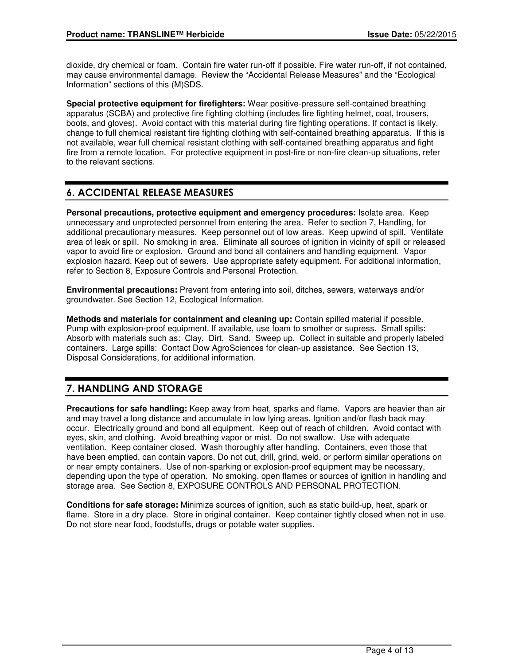dioxide, dry chemical or foam. Contain fire water run-off if possible. Fire water run-off, if not contained, may cause environmental damage. Review the "Accidental Release Measures" and the "Ecological Information" sections of this (M)SDS.

**Special protective equipment for firefighters:** Wear positive-pressure self-contained breathing apparatus (SCBA) and protective fire fighting clothing (includes fire fighting helmet, coat, trousers, boots, and gloves). Avoid contact with this material during fire fighting operations. If contact is likely, change to full chemical resistant fire fighting clothing with self-contained breathing apparatus. If this is not available, wear full chemical resistant clothing with self-contained breathing apparatus and fight fire from a remote location. For protective equipment in post-fire or non-fire clean-up situations, refer to the relevant sections.

# 6. ACCIDENTAL RELEASE MEASURES

**Personal precautions, protective equipment and emergency procedures:** Isolate area. Keep unnecessary and unprotected personnel from entering the area. Refer to section 7, Handling, for additional precautionary measures. Keep personnel out of low areas. Keep upwind of spill. Ventilate area of leak or spill. No smoking in area. Eliminate all sources of ignition in vicinity of spill or released vapor to avoid fire or explosion. Ground and bond all containers and handling equipment. Vapor explosion hazard. Keep out of sewers. Use appropriate safety equipment. For additional information, refer to Section 8, Exposure Controls and Personal Protection.

**Environmental precautions:** Prevent from entering into soil, ditches, sewers, waterways and/or groundwater. See Section 12, Ecological Information.

**Methods and materials for containment and cleaning up:** Contain spilled material if possible. Pump with explosion-proof equipment. If available, use foam to smother or supress. Small spills: Absorb with materials such as: Clay. Dirt. Sand. Sweep up. Collect in suitable and properly labeled containers. Large spills: Contact Dow AgroSciences for clean-up assistance. See Section 13, Disposal Considerations, for additional information.

# 7. HANDLING AND STORAGE

**Precautions for safe handling:** Keep away from heat, sparks and flame. Vapors are heavier than air and may travel a long distance and accumulate in low lying areas. Ignition and/or flash back may occur. Electrically ground and bond all equipment. Keep out of reach of children. Avoid contact with eyes, skin, and clothing. Avoid breathing vapor or mist. Do not swallow. Use with adequate ventilation. Keep container closed. Wash thoroughly after handling. Containers, even those that have been emptied, can contain vapors. Do not cut, drill, grind, weld, or perform similar operations on or near empty containers. Use of non-sparking or explosion-proof equipment may be necessary, depending upon the type of operation. No smoking, open flames or sources of ignition in handling and storage area. See Section 8, EXPOSURE CONTROLS AND PERSONAL PROTECTION.

**Conditions for safe storage:** Minimize sources of ignition, such as static build-up, heat, spark or flame. Store in a dry place. Store in original container. Keep container tightly closed when not in use. Do not store near food, foodstuffs, drugs or potable water supplies.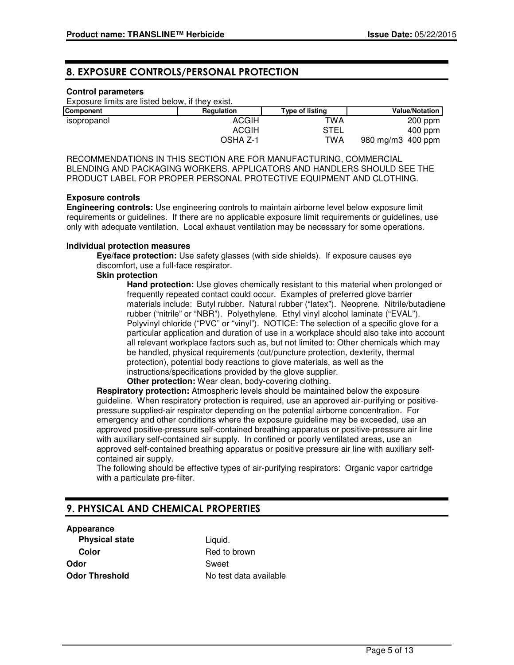## 8. EXPOSURE CONTROLS/PERSONAL PROTECTION

### **Control parameters**

Exposure limits are listed below, if they exist.

| <b>Component</b> | Regulation   | Type of listing | <b>Value/Notation</b>  |
|------------------|--------------|-----------------|------------------------|
| isopropanol      | <b>ACGIH</b> | <b>TWA</b>      | $200$ ppm              |
|                  | <b>ACGIH</b> | STEL            | $400$ ppm              |
|                  | OSHA Z-1     | TWA             | 980 mg/m $3\,$ 400 ppm |

RECOMMENDATIONS IN THIS SECTION ARE FOR MANUFACTURING, COMMERCIAL BLENDING AND PACKAGING WORKERS. APPLICATORS AND HANDLERS SHOULD SEE THE PRODUCT LABEL FOR PROPER PERSONAL PROTECTIVE EQUIPMENT AND CLOTHING.

### **Exposure controls**

**Engineering controls:** Use engineering controls to maintain airborne level below exposure limit requirements or guidelines. If there are no applicable exposure limit requirements or guidelines, use only with adequate ventilation. Local exhaust ventilation may be necessary for some operations.

### **Individual protection measures**

**Eye/face protection:** Use safety glasses (with side shields). If exposure causes eye discomfort, use a full-face respirator.

### **Skin protection**

**Hand protection:** Use gloves chemically resistant to this material when prolonged or frequently repeated contact could occur. Examples of preferred glove barrier materials include: Butyl rubber. Natural rubber ("latex"). Neoprene. Nitrile/butadiene rubber ("nitrile" or "NBR"). Polyethylene. Ethyl vinyl alcohol laminate ("EVAL"). Polyvinyl chloride ("PVC" or "vinyl"). NOTICE: The selection of a specific glove for a particular application and duration of use in a workplace should also take into account all relevant workplace factors such as, but not limited to: Other chemicals which may be handled, physical requirements (cut/puncture protection, dexterity, thermal protection), potential body reactions to glove materials, as well as the instructions/specifications provided by the glove supplier.

**Other protection:** Wear clean, body-covering clothing.

**Respiratory protection:** Atmospheric levels should be maintained below the exposure guideline. When respiratory protection is required, use an approved air-purifying or positivepressure supplied-air respirator depending on the potential airborne concentration. For emergency and other conditions where the exposure guideline may be exceeded, use an approved positive-pressure self-contained breathing apparatus or positive-pressure air line with auxiliary self-contained air supply. In confined or poorly ventilated areas, use an approved self-contained breathing apparatus or positive pressure air line with auxiliary selfcontained air supply.

The following should be effective types of air-purifying respirators: Organic vapor cartridge with a particulate pre-filter.

# 9. PHYSICAL AND CHEMICAL PROPERTIES

# **Appearance**

**Physical state** Liquid. **Color** Red to brown **Odor** Sweet

**Odor Threshold** No test data available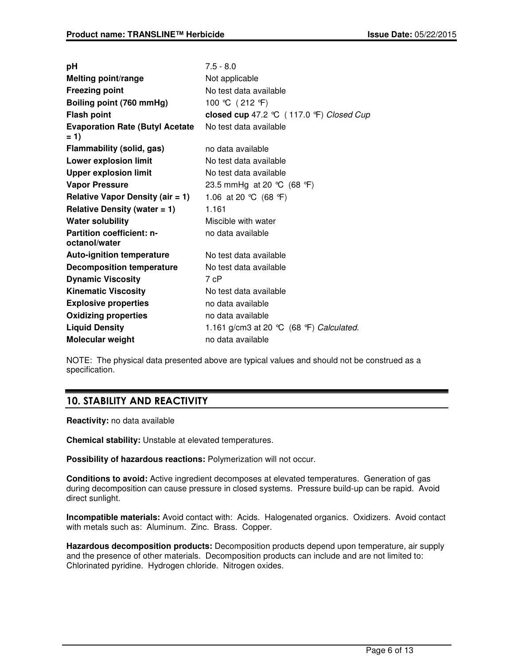| рH                                                | $7.5 - 8.0$                                |  |
|---------------------------------------------------|--------------------------------------------|--|
| <b>Melting point/range</b>                        | Not applicable                             |  |
| <b>Freezing point</b>                             | No test data available                     |  |
| Boiling point (760 mmHg)                          | 100 ℃ (212 °F)                             |  |
| <b>Flash point</b>                                | closed cup 47.2 ℃ (117.0 °F) Closed Cup    |  |
| <b>Evaporation Rate (Butyl Acetate</b><br>$= 1$   | No test data available                     |  |
| Flammability (solid, gas)                         | no data available                          |  |
| <b>Lower explosion limit</b>                      | No test data available                     |  |
| <b>Upper explosion limit</b>                      | No test data available                     |  |
| <b>Vapor Pressure</b>                             | 23.5 mmHg at 20 °C (68 °F)                 |  |
| <b>Relative Vapor Density (air = 1)</b>           | 1.06 at 20 °C (68 °F)                      |  |
| Relative Density (water $= 1$ )                   | 1.161                                      |  |
| <b>Water solubility</b>                           | Miscible with water                        |  |
| <b>Partition coefficient: n-</b><br>octanol/water | no data available                          |  |
| <b>Auto-ignition temperature</b>                  | No test data available                     |  |
| <b>Decomposition temperature</b>                  | No test data available                     |  |
| <b>Dynamic Viscosity</b>                          | 7 cP                                       |  |
| <b>Kinematic Viscosity</b>                        | No test data available                     |  |
| <b>Explosive properties</b>                       | no data available                          |  |
| <b>Oxidizing properties</b>                       | no data available                          |  |
| <b>Liquid Density</b>                             | 1.161 g/cm3 at 20 $°C$ (68 °F) Calculated. |  |
| Molecular weight                                  | no data available                          |  |

NOTE: The physical data presented above are typical values and should not be construed as a specification.

# 10. STABILITY AND REACTIVITY

**Reactivity:** no data available

**Chemical stability:** Unstable at elevated temperatures.

**Possibility of hazardous reactions:** Polymerization will not occur.

**Conditions to avoid:** Active ingredient decomposes at elevated temperatures. Generation of gas during decomposition can cause pressure in closed systems. Pressure build-up can be rapid. Avoid direct sunlight.

**Incompatible materials:** Avoid contact with: Acids. Halogenated organics. Oxidizers. Avoid contact with metals such as: Aluminum. Zinc. Brass. Copper.

**Hazardous decomposition products:** Decomposition products depend upon temperature, air supply and the presence of other materials. Decomposition products can include and are not limited to: Chlorinated pyridine. Hydrogen chloride. Nitrogen oxides.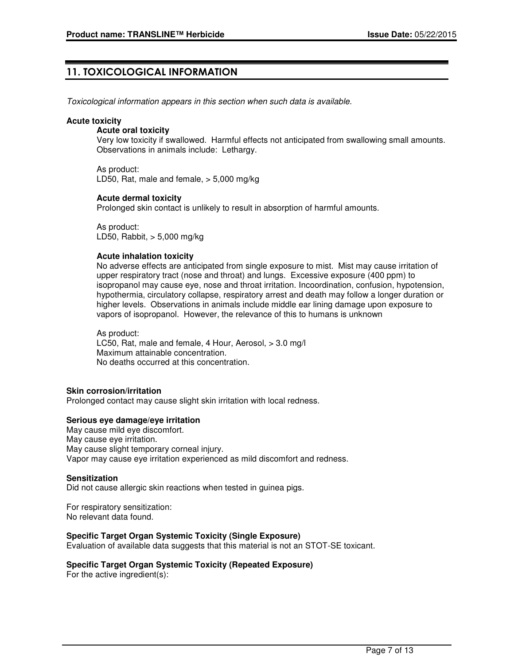# 11. TOXICOLOGICAL INFORMATION

Toxicological information appears in this section when such data is available.

### **Acute toxicity**

### **Acute oral toxicity**

Very low toxicity if swallowed. Harmful effects not anticipated from swallowing small amounts. Observations in animals include: Lethargy.

As product: LD50, Rat, male and female, > 5,000 mg/kg

### **Acute dermal toxicity**

Prolonged skin contact is unlikely to result in absorption of harmful amounts.

As product: LD50, Rabbit, > 5,000 mg/kg

### **Acute inhalation toxicity**

No adverse effects are anticipated from single exposure to mist. Mist may cause irritation of upper respiratory tract (nose and throat) and lungs. Excessive exposure (400 ppm) to isopropanol may cause eye, nose and throat irritation. Incoordination, confusion, hypotension, hypothermia, circulatory collapse, respiratory arrest and death may follow a longer duration or higher levels. Observations in animals include middle ear lining damage upon exposure to vapors of isopropanol. However, the relevance of this to humans is unknown

As product: LC50, Rat, male and female, 4 Hour, Aerosol, > 3.0 mg/l Maximum attainable concentration. No deaths occurred at this concentration.

### **Skin corrosion/irritation**

Prolonged contact may cause slight skin irritation with local redness.

### **Serious eye damage/eye irritation**

May cause mild eye discomfort. May cause eye irritation. May cause slight temporary corneal injury. Vapor may cause eye irritation experienced as mild discomfort and redness.

#### **Sensitization**

Did not cause allergic skin reactions when tested in guinea pigs.

For respiratory sensitization: No relevant data found.

### **Specific Target Organ Systemic Toxicity (Single Exposure)**

Evaluation of available data suggests that this material is not an STOT-SE toxicant.

### **Specific Target Organ Systemic Toxicity (Repeated Exposure)**

For the active ingredient(s):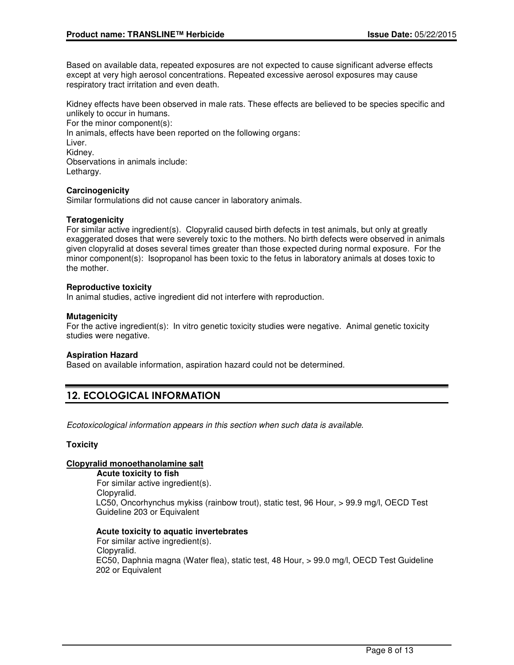Based on available data, repeated exposures are not expected to cause significant adverse effects except at very high aerosol concentrations. Repeated excessive aerosol exposures may cause respiratory tract irritation and even death.

Kidney effects have been observed in male rats. These effects are believed to be species specific and unlikely to occur in humans.

For the minor component(s): In animals, effects have been reported on the following organs: Liver. Kidney. Observations in animals include: Lethargy.

### **Carcinogenicity**

Similar formulations did not cause cancer in laboratory animals.

### **Teratogenicity**

For similar active ingredient(s). Clopyralid caused birth defects in test animals, but only at greatly exaggerated doses that were severely toxic to the mothers. No birth defects were observed in animals given clopyralid at doses several times greater than those expected during normal exposure. For the minor component(s): Isopropanol has been toxic to the fetus in laboratory animals at doses toxic to the mother.

### **Reproductive toxicity**

In animal studies, active ingredient did not interfere with reproduction.

### **Mutagenicity**

For the active ingredient(s): In vitro genetic toxicity studies were negative. Animal genetic toxicity studies were negative.

#### **Aspiration Hazard**

Based on available information, aspiration hazard could not be determined.

# 12. ECOLOGICAL INFORMATION

Ecotoxicological information appears in this section when such data is available.

### **Toxicity**

### **Clopyralid monoethanolamine salt**

**Acute toxicity to fish** For similar active ingredient(s). Clopyralid. LC50, Oncorhynchus mykiss (rainbow trout), static test, 96 Hour, > 99.9 mg/l, OECD Test Guideline 203 or Equivalent

#### **Acute toxicity to aquatic invertebrates**

For similar active ingredient(s). Clopyralid. EC50, Daphnia magna (Water flea), static test, 48 Hour, > 99.0 mg/l, OECD Test Guideline 202 or Equivalent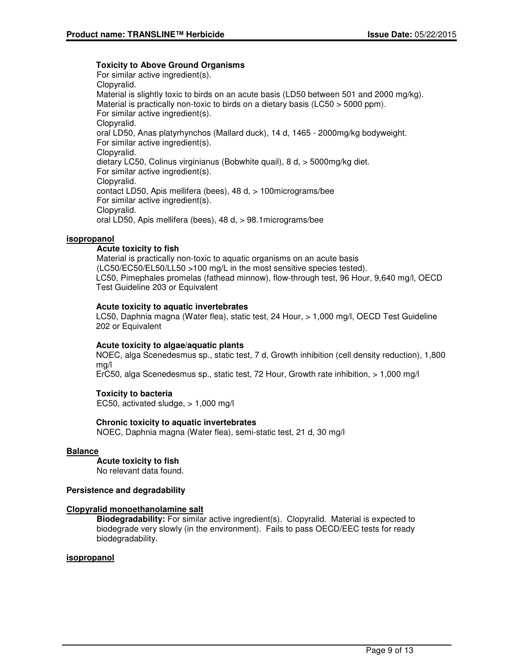### **Toxicity to Above Ground Organisms**

For similar active ingredient(s). Clopyralid. Material is slightly toxic to birds on an acute basis (LD50 between 501 and 2000 mg/kg). Material is practically non-toxic to birds on a dietary basis (LC50 > 5000 ppm). For similar active ingredient(s). Clopyralid. oral LD50, Anas platyrhynchos (Mallard duck), 14 d, 1465 - 2000mg/kg bodyweight. For similar active ingredient(s). Clopyralid. dietary LC50, Colinus virginianus (Bobwhite quail), 8 d, > 5000mg/kg diet. For similar active ingredient(s). Clopyralid. contact LD50, Apis mellifera (bees), 48 d, > 100micrograms/bee For similar active ingredient(s). Clopyralid. oral LD50, Apis mellifera (bees), 48 d, > 98.1micrograms/bee

### **isopropanol**

### **Acute toxicity to fish**

Material is practically non-toxic to aquatic organisms on an acute basis (LC50/EC50/EL50/LL50 >100 mg/L in the most sensitive species tested). LC50, Pimephales promelas (fathead minnow), flow-through test, 96 Hour, 9,640 mg/l, OECD Test Guideline 203 or Equivalent

### **Acute toxicity to aquatic invertebrates**

LC50, Daphnia magna (Water flea), static test, 24 Hour, > 1,000 mg/l, OECD Test Guideline 202 or Equivalent

### **Acute toxicity to algae/aquatic plants**

NOEC, alga Scenedesmus sp., static test, 7 d, Growth inhibition (cell density reduction), 1,800 mg/l

ErC50, alga Scenedesmus sp., static test, 72 Hour, Growth rate inhibition, > 1,000 mg/l

### **Toxicity to bacteria**

EC50, activated sludge, > 1,000 mg/l

### **Chronic toxicity to aquatic invertebrates**

NOEC, Daphnia magna (Water flea), semi-static test, 21 d, 30 mg/l

### **Balance**

**Acute toxicity to fish**

No relevant data found.

### **Persistence and degradability**

### **Clopyralid monoethanolamine salt**

**Biodegradability:** For similar active ingredient(s). Clopyralid. Material is expected to biodegrade very slowly (in the environment). Fails to pass OECD/EEC tests for ready biodegradability.

### **isopropanol**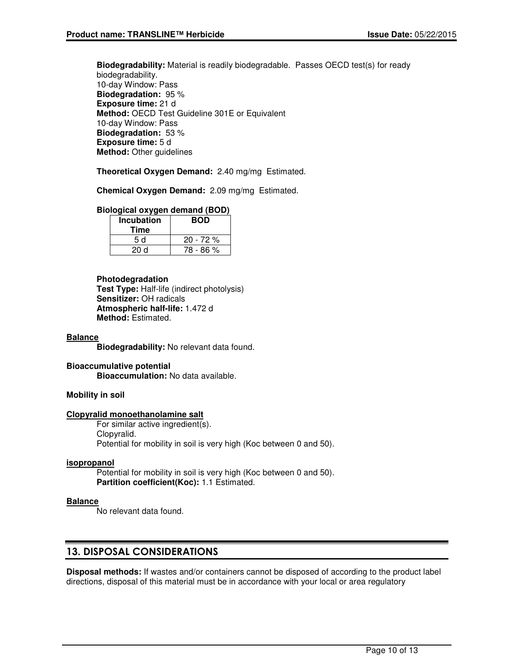**Biodegradability:** Material is readily biodegradable. Passes OECD test(s) for ready biodegradability. 10-day Window: Pass **Biodegradation:** 95 % **Exposure time:** 21 d **Method:** OECD Test Guideline 301E or Equivalent 10-day Window: Pass **Biodegradation:** 53 % **Exposure time:** 5 d **Method:** Other guidelines

**Theoretical Oxygen Demand:** 2.40 mg/mg Estimated.

**Chemical Oxygen Demand:** 2.09 mg/mg Estimated.

### **Biological oxygen demand (BOD)**

| <b>Incubation</b><br>Time | <b>BOD</b> |
|---------------------------|------------|
| 5 d                       | $20 - 72%$ |
| 20d                       | 78 - 86 %  |

### **Photodegradation**

**Test Type:** Half-life (indirect photolysis) **Sensitizer:** OH radicals **Atmospheric half-life:** 1.472 d **Method:** Estimated.

### **Balance**

**Biodegradability:** No relevant data found.

### **Bioaccumulative potential Bioaccumulation:** No data available.

### **Mobility in soil**

### **Clopyralid monoethanolamine salt**

For similar active ingredient(s). Clopyralid. Potential for mobility in soil is very high (Koc between 0 and 50).

#### **isopropanol**

Potential for mobility in soil is very high (Koc between 0 and 50). **Partition coefficient(Koc):** 1.1 Estimated.

### **Balance**

No relevant data found.

### 13. DISPOSAL CONSIDERATIONS

**Disposal methods:** If wastes and/or containers cannot be disposed of according to the product label directions, disposal of this material must be in accordance with your local or area regulatory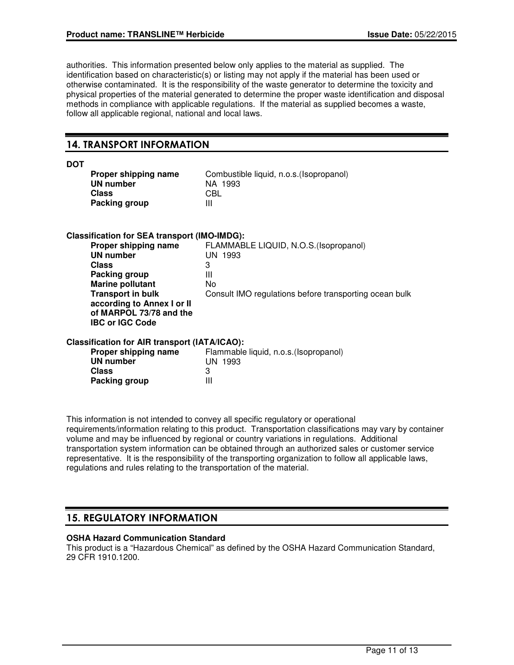authorities. This information presented below only applies to the material as supplied. The identification based on characteristic(s) or listing may not apply if the material has been used or otherwise contaminated. It is the responsibility of the waste generator to determine the toxicity and physical properties of the material generated to determine the proper waste identification and disposal methods in compliance with applicable regulations. If the material as supplied becomes a waste, follow all applicable regional, national and local laws.

## 14. TRANSPORT INFORMATION

| ۰.<br>۰.<br>۰.<br>v |
|---------------------|
|---------------------|

| Proper shipping name | Com |
|----------------------|-----|
| UN number            | ΝA  |
| Class                | CBL |
| <b>Packing group</b> | Ш   |

Combustible liquid, n.o.s.(Isopropanol) **NA 1993**<br>CBL

### **Classification for SEA transport (IMO-IMDG):**

| FLAMMABLE LIQUID, N.O.S. (Isopropanol)                 |
|--------------------------------------------------------|
| UN 1993                                                |
| 3                                                      |
| Ш                                                      |
| No                                                     |
| Consult IMO regulations before transporting ocean bulk |
|                                                        |
|                                                        |
|                                                        |
|                                                        |

### **Classification for AIR transport (IATA/ICAO):**

| Flammable liquid, n.o.s. (Isopropanol) |
|----------------------------------------|
| UN 1993                                |
|                                        |
| Ш                                      |
|                                        |

This information is not intended to convey all specific regulatory or operational requirements/information relating to this product. Transportation classifications may vary by container volume and may be influenced by regional or country variations in regulations. Additional transportation system information can be obtained through an authorized sales or customer service representative. It is the responsibility of the transporting organization to follow all applicable laws, regulations and rules relating to the transportation of the material.

# 15. REGULATORY INFORMATION

### **OSHA Hazard Communication Standard**

This product is a "Hazardous Chemical" as defined by the OSHA Hazard Communication Standard, 29 CFR 1910.1200.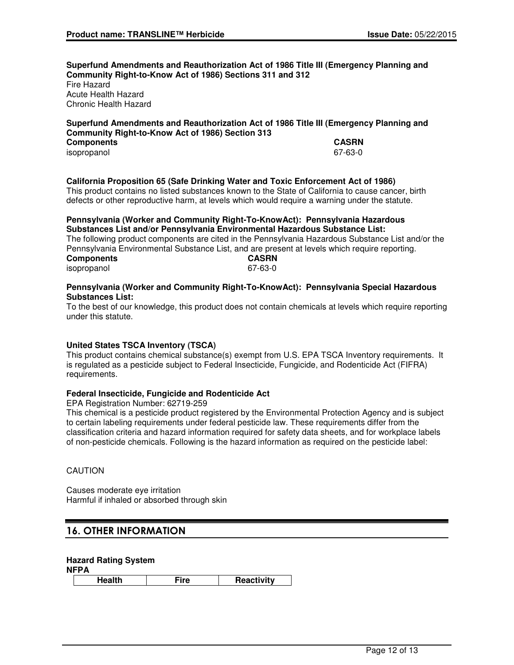**Superfund Amendments and Reauthorization Act of 1986 Title III (Emergency Planning and Community Right-to-Know Act of 1986) Sections 311 and 312** Fire Hazard Acute Health Hazard

Chronic Health Hazard

### **Superfund Amendments and Reauthorization Act of 1986 Title III (Emergency Planning and Community Right-to-Know Act of 1986) Section 313**

| <b>Components</b> | <b>CASRN</b> |
|-------------------|--------------|
| isopropanol       | 67-63-0      |
|                   |              |

### **California Proposition 65 (Safe Drinking Water and Toxic Enforcement Act of 1986)**

This product contains no listed substances known to the State of California to cause cancer, birth defects or other reproductive harm, at levels which would require a warning under the statute.

#### **Pennsylvania (Worker and Community Right-To-KnowAct): Pennsylvania Hazardous Substances List and/or Pennsylvania Environmental Hazardous Substance List:**

The following product components are cited in the Pennsylvania Hazardous Substance List and/or the Pennsylvania Environmental Substance List, and are present at levels which require reporting.<br> **CASRN Components** isopropanol 67-63-0

### **Pennsylvania (Worker and Community Right-To-KnowAct): Pennsylvania Special Hazardous Substances List:**

To the best of our knowledge, this product does not contain chemicals at levels which require reporting under this statute.

### **United States TSCA Inventory (TSCA)**

This product contains chemical substance(s) exempt from U.S. EPA TSCA Inventory requirements. It is regulated as a pesticide subject to Federal Insecticide, Fungicide, and Rodenticide Act (FIFRA) requirements.

### **Federal Insecticide, Fungicide and Rodenticide Act**

EPA Registration Number: 62719-259

This chemical is a pesticide product registered by the Environmental Protection Agency and is subject to certain labeling requirements under federal pesticide law. These requirements differ from the classification criteria and hazard information required for safety data sheets, and for workplace labels of non-pesticide chemicals. Following is the hazard information as required on the pesticide label:

### **CAUTION**

Causes moderate eye irritation Harmful if inhaled or absorbed through skin

# 16. OTHER INFORMATION

### **Hazard Rating System**

**NFPA**

**Health Fire Reactivity**